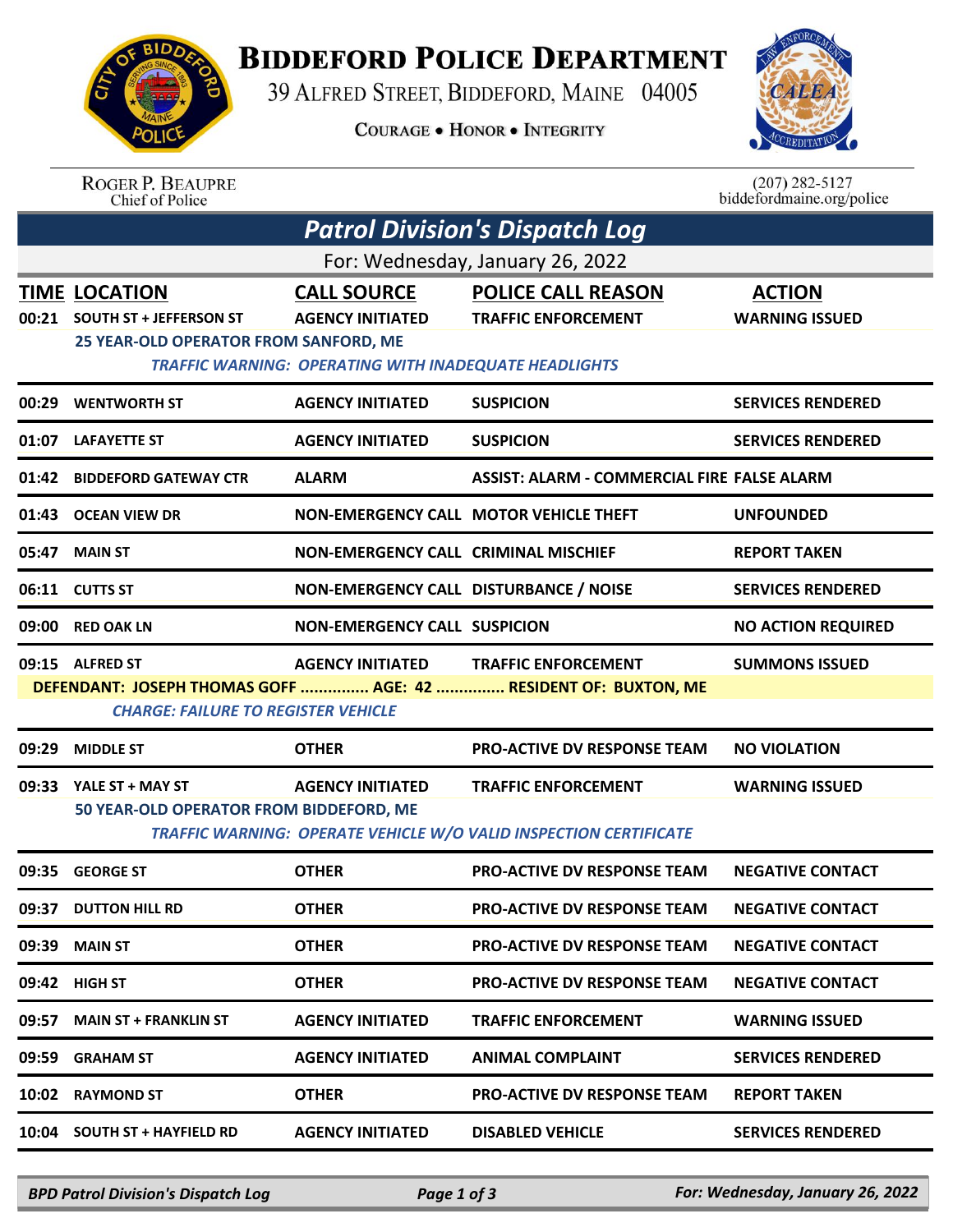

## **BIDDEFORD POLICE DEPARTMENT**

39 ALFRED STREET, BIDDEFORD, MAINE 04005

**COURAGE . HONOR . INTEGRITY** 



ROGER P. BEAUPRE<br>Chief of Police

 $(207)$  282-5127<br>biddefordmaine.org/police

| <b>Patrol Division's Dispatch Log</b>                                                                         |                                                                                                |                                                                                                               |                                                                          |                                        |  |  |  |  |
|---------------------------------------------------------------------------------------------------------------|------------------------------------------------------------------------------------------------|---------------------------------------------------------------------------------------------------------------|--------------------------------------------------------------------------|----------------------------------------|--|--|--|--|
| For: Wednesday, January 26, 2022                                                                              |                                                                                                |                                                                                                               |                                                                          |                                        |  |  |  |  |
|                                                                                                               | <b>TIME LOCATION</b><br>00:21 SOUTH ST + JEFFERSON ST<br>25 YEAR-OLD OPERATOR FROM SANFORD, ME | <b>CALL SOURCE</b><br><b>AGENCY INITIATED</b><br><b>TRAFFIC WARNING: OPERATING WITH INADEQUATE HEADLIGHTS</b> | <b>POLICE CALL REASON</b><br><b>TRAFFIC ENFORCEMENT</b>                  | <b>ACTION</b><br><b>WARNING ISSUED</b> |  |  |  |  |
|                                                                                                               | 00:29 WENTWORTH ST                                                                             | <b>AGENCY INITIATED</b>                                                                                       | <b>SUSPICION</b>                                                         | <b>SERVICES RENDERED</b>               |  |  |  |  |
|                                                                                                               | 01:07 LAFAYETTE ST                                                                             | <b>AGENCY INITIATED</b>                                                                                       | <b>SUSPICION</b>                                                         | <b>SERVICES RENDERED</b>               |  |  |  |  |
|                                                                                                               | 01:42 BIDDEFORD GATEWAY CTR                                                                    | <b>ALARM</b>                                                                                                  | ASSIST: ALARM - COMMERCIAL FIRE FALSE ALARM                              |                                        |  |  |  |  |
|                                                                                                               | 01:43 OCEAN VIEW DR                                                                            |                                                                                                               | NON-EMERGENCY CALL MOTOR VEHICLE THEFT                                   | <b>UNFOUNDED</b>                       |  |  |  |  |
|                                                                                                               | 05:47 MAIN ST                                                                                  | <b>NON-EMERGENCY CALL CRIMINAL MISCHIEF</b>                                                                   |                                                                          | <b>REPORT TAKEN</b>                    |  |  |  |  |
|                                                                                                               | 06:11 CUTTS ST                                                                                 | NON-EMERGENCY CALL DISTURBANCE / NOISE                                                                        |                                                                          | <b>SERVICES RENDERED</b>               |  |  |  |  |
|                                                                                                               | 09:00 RED OAK LN                                                                               | <b>NON-EMERGENCY CALL SUSPICION</b>                                                                           |                                                                          | <b>NO ACTION REQUIRED</b>              |  |  |  |  |
|                                                                                                               | 09:15 ALFRED ST                                                                                | <b>AGENCY INITIATED</b>                                                                                       | <b>TRAFFIC ENFORCEMENT</b>                                               | <b>SUMMONS ISSUED</b>                  |  |  |  |  |
| DEFENDANT: JOSEPH THOMAS GOFF  AGE: 42  RESIDENT OF: BUXTON, ME<br><b>CHARGE: FAILURE TO REGISTER VEHICLE</b> |                                                                                                |                                                                                                               |                                                                          |                                        |  |  |  |  |
|                                                                                                               | 09:29 MIDDLE ST                                                                                | <b>OTHER</b>                                                                                                  | <b>PRO-ACTIVE DV RESPONSE TEAM</b>                                       | <b>NO VIOLATION</b>                    |  |  |  |  |
|                                                                                                               | 09:33 YALE ST + MAY ST                                                                         | <b>AGENCY INITIATED</b>                                                                                       | <b>TRAFFIC ENFORCEMENT</b>                                               | <b>WARNING ISSUED</b>                  |  |  |  |  |
|                                                                                                               | 50 YEAR-OLD OPERATOR FROM BIDDEFORD, ME                                                        |                                                                                                               | <b>TRAFFIC WARNING: OPERATE VEHICLE W/O VALID INSPECTION CERTIFICATE</b> |                                        |  |  |  |  |
| 09:35                                                                                                         | <b>GEORGE ST</b>                                                                               | <b>OTHER</b>                                                                                                  | <b>PRO-ACTIVE DV RESPONSE TEAM</b>                                       | <b>NEGATIVE CONTACT</b>                |  |  |  |  |
| 09:37                                                                                                         | <b>DUTTON HILL RD</b>                                                                          | <b>OTHER</b>                                                                                                  | <b>PRO-ACTIVE DV RESPONSE TEAM</b>                                       | <b>NEGATIVE CONTACT</b>                |  |  |  |  |
| 09:39                                                                                                         | <b>MAIN ST</b>                                                                                 | <b>OTHER</b>                                                                                                  | <b>PRO-ACTIVE DV RESPONSE TEAM</b>                                       | <b>NEGATIVE CONTACT</b>                |  |  |  |  |
| 09:42                                                                                                         | <b>HIGH ST</b>                                                                                 | <b>OTHER</b>                                                                                                  | <b>PRO-ACTIVE DV RESPONSE TEAM</b>                                       | <b>NEGATIVE CONTACT</b>                |  |  |  |  |
| 09:57                                                                                                         | <b>MAIN ST + FRANKLIN ST</b>                                                                   | <b>AGENCY INITIATED</b>                                                                                       | <b>TRAFFIC ENFORCEMENT</b>                                               | <b>WARNING ISSUED</b>                  |  |  |  |  |
| 09:59                                                                                                         | <b>GRAHAM ST</b>                                                                               | <b>AGENCY INITIATED</b>                                                                                       | <b>ANIMAL COMPLAINT</b>                                                  | <b>SERVICES RENDERED</b>               |  |  |  |  |
| 10:02                                                                                                         | <b>RAYMOND ST</b>                                                                              | <b>OTHER</b>                                                                                                  | <b>PRO-ACTIVE DV RESPONSE TEAM</b>                                       | <b>REPORT TAKEN</b>                    |  |  |  |  |
| 10:04                                                                                                         | <b>SOUTH ST + HAYFIELD RD</b>                                                                  | <b>AGENCY INITIATED</b>                                                                                       | <b>DISABLED VEHICLE</b>                                                  | <b>SERVICES RENDERED</b>               |  |  |  |  |
|                                                                                                               |                                                                                                |                                                                                                               |                                                                          |                                        |  |  |  |  |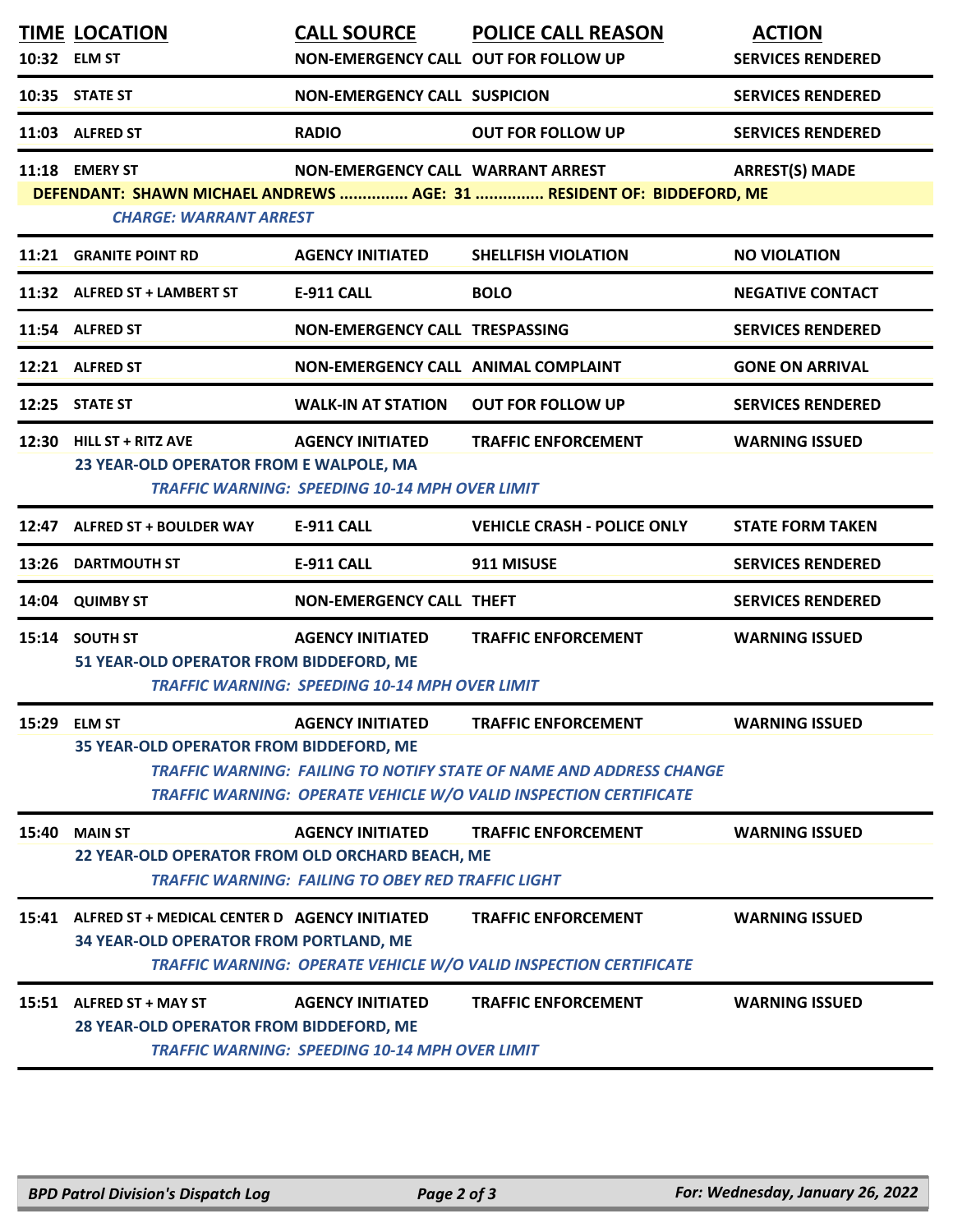|       | <b>TIME LOCATION</b><br>10:32 ELM ST                                                                 | <b>CALL SOURCE</b><br>NON-EMERGENCY CALL OUT FOR FOLLOW UP                           | <b>POLICE CALL REASON</b>                                                                                                                                                     | <b>ACTION</b><br><b>SERVICES RENDERED</b> |
|-------|------------------------------------------------------------------------------------------------------|--------------------------------------------------------------------------------------|-------------------------------------------------------------------------------------------------------------------------------------------------------------------------------|-------------------------------------------|
|       | 10:35 STATE ST                                                                                       | <b>NON-EMERGENCY CALL SUSPICION</b>                                                  |                                                                                                                                                                               | <b>SERVICES RENDERED</b>                  |
|       | 11:03 ALFRED ST                                                                                      | <b>RADIO</b>                                                                         | <b>OUT FOR FOLLOW UP</b>                                                                                                                                                      | <b>SERVICES RENDERED</b>                  |
|       | 11:18 EMERY ST<br><b>CHARGE: WARRANT ARREST</b>                                                      | NON-EMERGENCY CALL WARRANT ARREST                                                    | DEFENDANT: SHAWN MICHAEL ANDREWS  AGE: 31  RESIDENT OF: BIDDEFORD, ME                                                                                                         | <b>ARREST(S) MADE</b>                     |
|       | 11:21 GRANITE POINT RD                                                                               | <b>AGENCY INITIATED</b>                                                              | <b>SHELLFISH VIOLATION</b>                                                                                                                                                    | <b>NO VIOLATION</b>                       |
|       | 11:32 ALFRED ST + LAMBERT ST                                                                         | <b>E-911 CALL</b>                                                                    | <b>BOLO</b>                                                                                                                                                                   | <b>NEGATIVE CONTACT</b>                   |
|       | 11:54 ALFRED ST                                                                                      | NON-EMERGENCY CALL TRESPASSING                                                       |                                                                                                                                                                               | <b>SERVICES RENDERED</b>                  |
|       | 12:21 ALFRED ST                                                                                      | NON-EMERGENCY CALL ANIMAL COMPLAINT                                                  |                                                                                                                                                                               | <b>GONE ON ARRIVAL</b>                    |
|       | 12:25 STATE ST                                                                                       | <b>WALK-IN AT STATION</b>                                                            | <b>OUT FOR FOLLOW UP</b>                                                                                                                                                      | <b>SERVICES RENDERED</b>                  |
|       | 12:30 HILL ST + RITZ AVE<br>23 YEAR-OLD OPERATOR FROM E WALPOLE, MA                                  | <b>AGENCY INITIATED</b><br><b>TRAFFIC WARNING: SPEEDING 10-14 MPH OVER LIMIT</b>     | <b>TRAFFIC ENFORCEMENT</b>                                                                                                                                                    | <b>WARNING ISSUED</b>                     |
| 12:47 | <b>ALFRED ST + BOULDER WAY</b>                                                                       | <b>E-911 CALL</b>                                                                    | <b>VEHICLE CRASH - POLICE ONLY</b>                                                                                                                                            | <b>STATE FORM TAKEN</b>                   |
|       | 13:26 DARTMOUTH ST                                                                                   | <b>E-911 CALL</b>                                                                    | 911 MISUSE                                                                                                                                                                    | <b>SERVICES RENDERED</b>                  |
|       | 14:04 QUIMBY ST                                                                                      | <b>NON-EMERGENCY CALL THEFT</b>                                                      |                                                                                                                                                                               | <b>SERVICES RENDERED</b>                  |
|       |                                                                                                      |                                                                                      |                                                                                                                                                                               |                                           |
|       | 15:14 SOUTH ST<br>51 YEAR-OLD OPERATOR FROM BIDDEFORD, ME                                            | <b>AGENCY INITIATED</b><br><b>TRAFFIC WARNING: SPEEDING 10-14 MPH OVER LIMIT</b>     | <b>TRAFFIC ENFORCEMENT</b>                                                                                                                                                    | <b>WARNING ISSUED</b>                     |
|       | 15:29 ELM ST<br>35 YEAR-OLD OPERATOR FROM BIDDEFORD, ME                                              | <b>AGENCY INITIATED</b>                                                              | <b>TRAFFIC ENFORCEMENT</b><br><b>TRAFFIC WARNING: FAILING TO NOTIFY STATE OF NAME AND ADDRESS CHANGE</b><br>TRAFFIC WARNING: OPERATE VEHICLE W/O VALID INSPECTION CERTIFICATE | <b>WARNING ISSUED</b>                     |
| 15:40 | <b>MAIN ST</b><br>22 YEAR-OLD OPERATOR FROM OLD ORCHARD BEACH, ME                                    | <b>AGENCY INITIATED</b><br><b>TRAFFIC WARNING: FAILING TO OBEY RED TRAFFIC LIGHT</b> | <b>TRAFFIC ENFORCEMENT</b>                                                                                                                                                    | <b>WARNING ISSUED</b>                     |
|       | 15:41 ALFRED ST + MEDICAL CENTER D AGENCY INITIATED<br><b>34 YEAR-OLD OPERATOR FROM PORTLAND, ME</b> |                                                                                      | <b>TRAFFIC ENFORCEMENT</b><br><b>TRAFFIC WARNING: OPERATE VEHICLE W/O VALID INSPECTION CERTIFICATE</b>                                                                        | <b>WARNING ISSUED</b>                     |